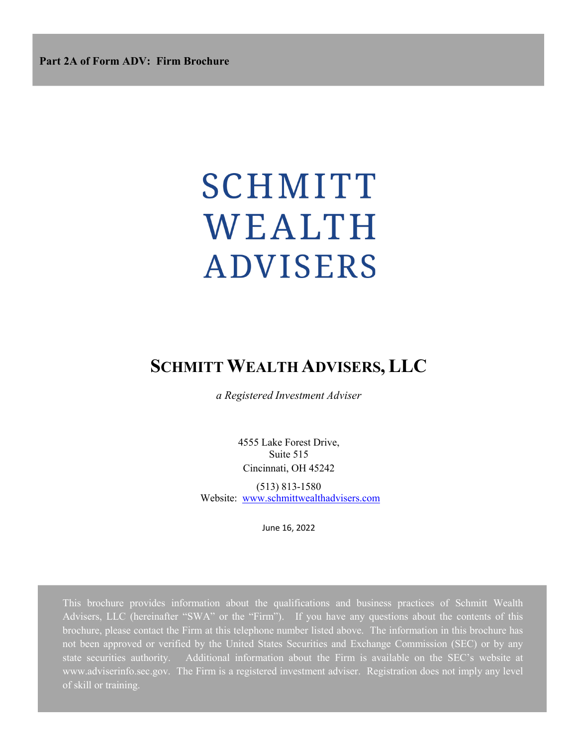# SCHMITT WEALTH **ADVISERS**

# **SCHMITT WEALTH ADVISERS,LLC**

*a Registered Investment Adviser*

4555 Lake Forest Drive, Suite 515 Cincinnati, OH 45242

(513) 813-1580 Website: www.schmittwealthadvisers.com

June 16, 2022

This brochure provides information about the qualifications and business practices of Schmitt Wealth Advisers, LLC (hereinafter "SWA" or the "Firm"). If you have any questions about the contents of this brochure, please contact the Firm at this telephone number listed above. The information in this brochure has not been approved or verified by the United States Securities and Exchange Commission (SEC) or by any state securities authority. Additional information about the Firm is available on the SEC's website at www.adviserinfo.sec.gov. The Firm is a registered investment adviser. Registration does not imply any level of skill or training.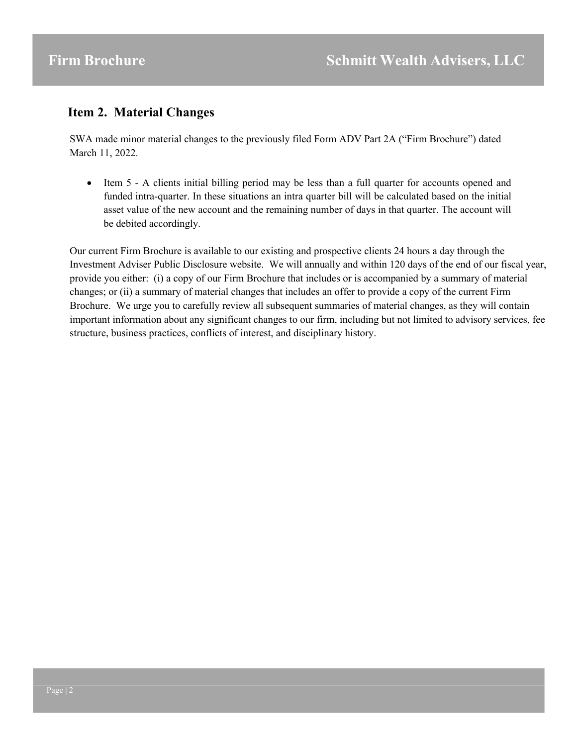# **Item 2. Material Changes**

SWA made minor material changes to the previously filed Form ADV Part 2A ("Firm Brochure") dated March 11, 2022.

• Item 5 - A clients initial billing period may be less than a full quarter for accounts opened and funded intra-quarter. In these situations an intra quarter bill will be calculated based on the initial asset value of the new account and the remaining number of days in that quarter. The account will be debited accordingly.

Our current Firm Brochure is available to our existing and prospective clients 24 hours a day through the Investment Adviser Public Disclosure website. We will annually and within 120 days of the end of our fiscal year, provide you either: (i) a copy of our Firm Brochure that includes or is accompanied by a summary of material changes; or (ii) a summary of material changes that includes an offer to provide a copy of the current Firm Brochure. We urge you to carefully review all subsequent summaries of material changes, as they will contain important information about any significant changes to our firm, including but not limited to advisory services, fee structure, business practices, conflicts of interest, and disciplinary history.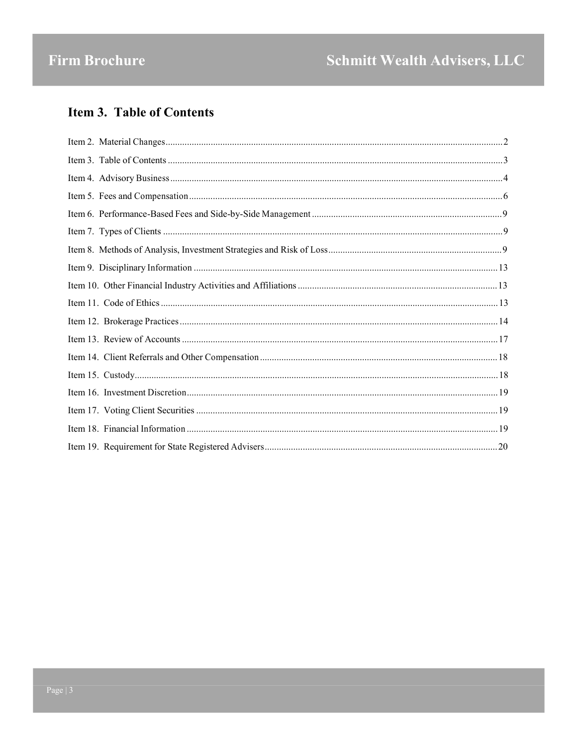# **Item 3. Table of Contents**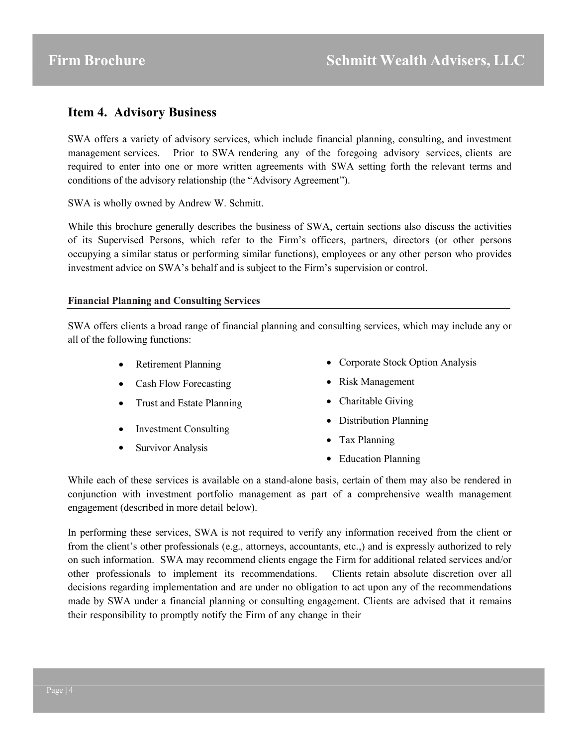# **Item 4. Advisory Business**

SWA offers a variety of advisory services, which include financial planning, consulting, and investment management services. Prior to SWA rendering any of the foregoing advisory services, clients are required to enter into one or more written agreements with SWA setting forth the relevant terms and conditions of the advisory relationship (the "Advisory Agreement").

SWA is wholly owned by Andrew W. Schmitt.

While this brochure generally describes the business of SWA, certain sections also discuss the activities of its Supervised Persons, which refer to the Firm's officers, partners, directors (or other persons occupying a similar status or performing similar functions), employees or any other person who provides investment advice on SWA's behalf and is subject to the Firm's supervision or control.

#### **Financial Planning and Consulting Services**

SWA offers clients a broad range of financial planning and consulting services, which may include any or all of the following functions:

- Retirement Planning • Corporate Stock Option Analysis
- Cash Flow Forecasting • Risk Management
- Trust and Estate Planning • Charitable Giving
- Investment Consulting
- Survivor Analysis
- Distribution Planning
- Tax Planning
- Education Planning

While each of these services is available on a stand-alone basis, certain of them may also be rendered in conjunction with investment portfolio management as part of a comprehensive wealth management engagement (described in more detail below).

In performing these services, SWA is not required to verify any information received from the client or from the client's other professionals (e.g., attorneys, accountants, etc.,) and is expressly authorized to rely on such information. SWA may recommend clients engage the Firm for additional related services and/or other professionals to implement its recommendations. Clients retain absolute discretion over all decisions regarding implementation and are under no obligation to act upon any of the recommendations made by SWA under a financial planning or consulting engagement. Clients are advised that it remains their responsibility to promptly notify the Firm of any change in their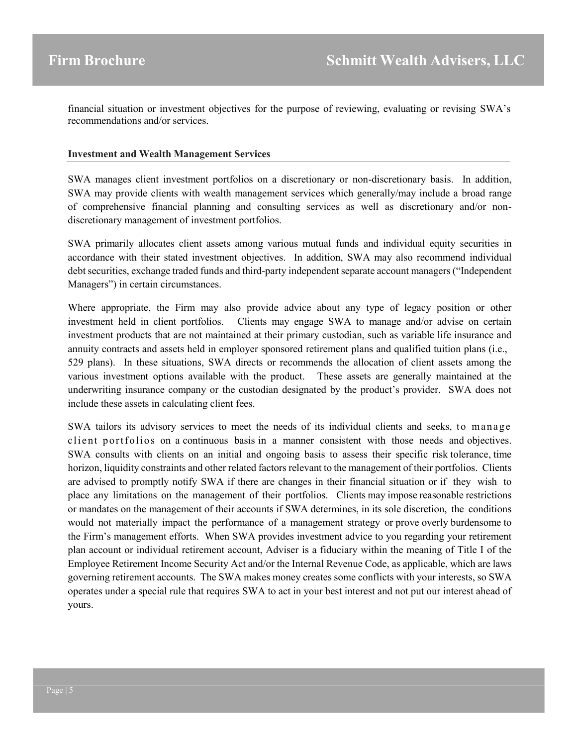financial situation or investment objectives for the purpose of reviewing, evaluating or revising SWA's recommendations and/or services.

#### **Investment and Wealth Management Services**

SWA manages client investment portfolios on a discretionary or non-discretionary basis. In addition, SWA may provide clients with wealth management services which generally/may include a broad range of comprehensive financial planning and consulting services as well as discretionary and/or nondiscretionary management of investment portfolios.

SWA primarily allocates client assets among various mutual funds and individual equity securities in accordance with their stated investment objectives. In addition, SWA may also recommend individual debt securities, exchange traded funds and third-party independent separate account managers ("Independent Managers") in certain circumstances.

Where appropriate, the Firm may also provide advice about any type of legacy position or other investment held in client portfolios. Clients may engage SWA to manage and/or advise on certain investment products that are not maintained at their primary custodian, such as variable life insurance and annuity contracts and assets held in employer sponsored retirement plans and qualified tuition plans (i.e., 529 plans). In these situations, SWA directs or recommends the allocation of client assets among the various investment options available with the product. These assets are generally maintained at the underwriting insurance company or the custodian designated by the product's provider. SWA does not include these assets in calculating client fees.

SWA tailors its advisory services to meet the needs of its individual clients and seeks, to manage client portfolios on a continuous basis in a manner consistent with those needs and objectives. SWA consults with clients on an initial and ongoing basis to assess their specific risk tolerance, time horizon, liquidity constraints and other related factors relevant to the management of their portfolios. Clients are advised to promptly notify SWA if there are changes in their financial situation or if they wish to place any limitations on the management of their portfolios. Clients may impose reasonable restrictions or mandates on the management of their accounts if SWA determines, in its sole discretion, the conditions would not materially impact the performance of a management strategy or prove overly burdensome to the Firm's management efforts. When SWA provides investment advice to you regarding your retirement plan account or individual retirement account, Adviser is a fiduciary within the meaning of Title I of the Employee Retirement Income Security Act and/or the Internal Revenue Code, as applicable, which are laws governing retirement accounts. The SWA makes money creates some conflicts with your interests, so SWA operates under a special rule that requires SWA to act in your best interest and not put our interest ahead of yours.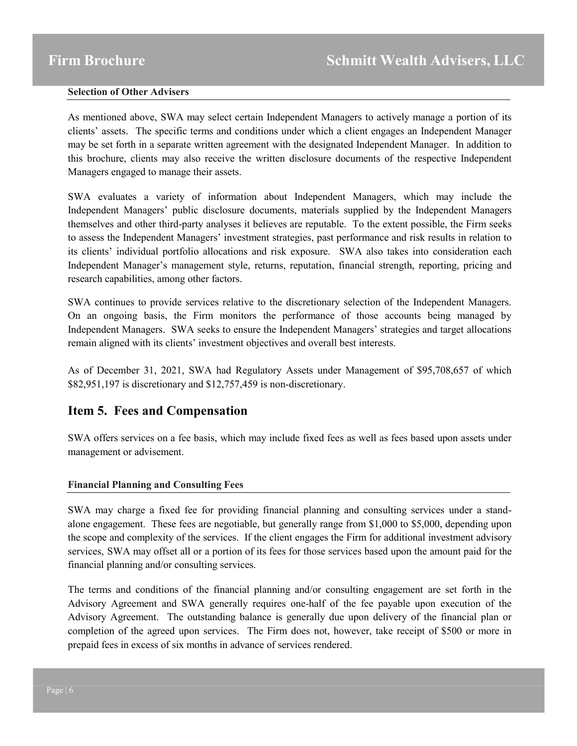#### **Selection of Other Advisers**

As mentioned above, SWA may select certain Independent Managers to actively manage a portion of its clients' assets. The specific terms and conditions under which a client engages an Independent Manager may be set forth in a separate written agreement with the designated Independent Manager. In addition to this brochure, clients may also receive the written disclosure documents of the respective Independent Managers engaged to manage their assets.

SWA evaluates a variety of information about Independent Managers, which may include the Independent Managers' public disclosure documents, materials supplied by the Independent Managers themselves and other third-party analyses it believes are reputable. To the extent possible, the Firm seeks to assess the Independent Managers' investment strategies, past performance and risk results in relation to its clients' individual portfolio allocations and risk exposure. SWA also takes into consideration each Independent Manager's management style, returns, reputation, financial strength, reporting, pricing and research capabilities, among other factors.

SWA continues to provide services relative to the discretionary selection of the Independent Managers. On an ongoing basis, the Firm monitors the performance of those accounts being managed by Independent Managers. SWA seeks to ensure the Independent Managers' strategies and target allocations remain aligned with its clients' investment objectives and overall best interests.

As of December 31, 2021, SWA had Regulatory Assets under Management of \$95,708,657 of which \$82,951,197 is discretionary and \$12,757,459 is non-discretionary.

# **Item 5. Fees and Compensation**

SWA offers services on a fee basis, which may include fixed fees as well as fees based upon assets under management or advisement.

#### **Financial Planning and Consulting Fees**

SWA may charge a fixed fee for providing financial planning and consulting services under a standalone engagement. These fees are negotiable, but generally range from \$1,000 to \$5,000, depending upon the scope and complexity of the services. If the client engages the Firm for additional investment advisory services, SWA may offset all or a portion of its fees for those services based upon the amount paid for the financial planning and/or consulting services.

The terms and conditions of the financial planning and/or consulting engagement are set forth in the Advisory Agreement and SWA generally requires one-half of the fee payable upon execution of the Advisory Agreement. The outstanding balance is generally due upon delivery of the financial plan or completion of the agreed upon services. The Firm does not, however, take receipt of \$500 or more in prepaid fees in excess of six months in advance of services rendered.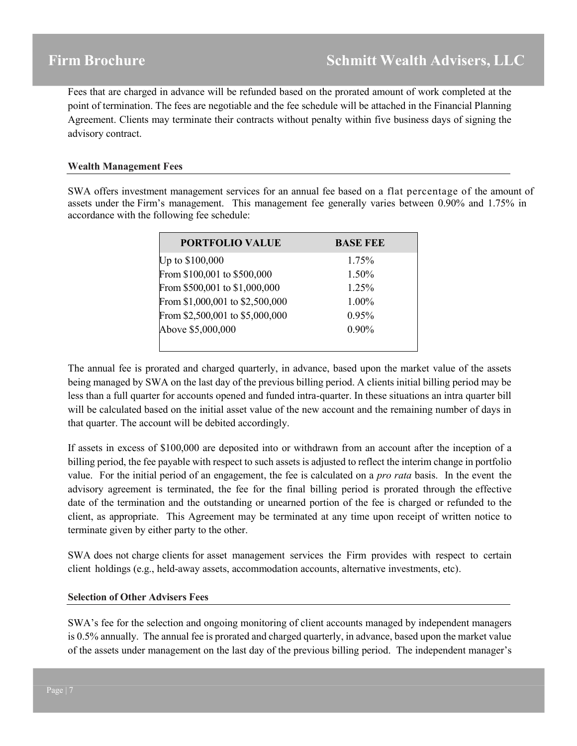Fees that are charged in advance will be refunded based on the prorated amount of work completed at the point of termination. The fees are negotiable and the fee schedule will be attached in the Financial Planning Agreement. Clients may terminate their contracts without penalty within five business days of signing the advisory contract.

#### **Wealth Management Fees**

SWA offers investment management services for an annual fee based on a flat percentage of the amount of assets under the Firm's management. This management fee generally varies between 0.90% and 1.75% in accordance with the following fee schedule:

| <b>PORTFOLIO VALUE</b>          | <b>BASE FEE</b> |
|---------------------------------|-----------------|
| Up to \$100,000                 | 1.75%           |
| From \$100,001 to \$500,000     | 1.50%           |
| From \$500,001 to \$1,000,000   | 1.25%           |
| From \$1,000,001 to \$2,500,000 | 1.00%           |
| From \$2,500,001 to \$5,000,000 | 0.95%           |
| Above \$5,000,000               | $0.90\%$        |
|                                 |                 |

The annual fee is prorated and charged quarterly, in advance, based upon the market value of the assets being managed by SWA on the last day of the previous billing period. A clients initial billing period may be less than a full quarter for accounts opened and funded intra-quarter. In these situations an intra quarter bill will be calculated based on the initial asset value of the new account and the remaining number of days in that quarter. The account will be debited accordingly.

If assets in excess of \$100,000 are deposited into or withdrawn from an account after the inception of a billing period, the fee payable with respect to such assets is adjusted to reflect the interim change in portfolio value. For the initial period of an engagement, the fee is calculated on a *pro rata* basis. In the event the advisory agreement is terminated, the fee for the final billing period is prorated through the effective date of the termination and the outstanding or unearned portion of the fee is charged or refunded to the client, as appropriate. This Agreement may be terminated at any time upon receipt of written notice to terminate given by either party to the other.

SWA does not charge clients for asset management services the Firm provides with respect to certain client holdings (e.g., held-away assets, accommodation accounts, alternative investments, etc).

#### **Selection of Other Advisers Fees**

SWA's fee for the selection and ongoing monitoring of client accounts managed by independent managers is 0.5% annually. The annual fee is prorated and charged quarterly, in advance, based upon the market value of the assets under management on the last day of the previous billing period. The independent manager's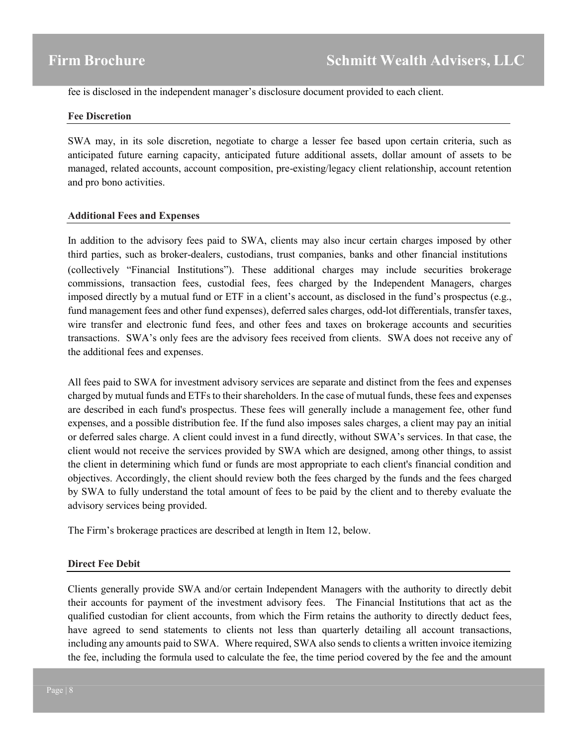fee is disclosed in the independent manager's disclosure document provided to each client.

#### **Fee Discretion**

SWA may, in its sole discretion, negotiate to charge a lesser fee based upon certain criteria, such as anticipated future earning capacity, anticipated future additional assets, dollar amount of assets to be managed, related accounts, account composition, pre-existing/legacy client relationship, account retention and pro bono activities.

#### **Additional Fees and Expenses**

In addition to the advisory fees paid to SWA, clients may also incur certain charges imposed by other third parties, such as broker-dealers, custodians, trust companies, banks and other financial institutions (collectively "Financial Institutions"). These additional charges may include securities brokerage commissions, transaction fees, custodial fees, fees charged by the Independent Managers, charges imposed directly by a mutual fund or ETF in a client's account, as disclosed in the fund's prospectus (e.g., fund management fees and other fund expenses), deferred sales charges, odd-lot differentials, transfer taxes, wire transfer and electronic fund fees, and other fees and taxes on brokerage accounts and securities transactions. SWA's only fees are the advisory fees received from clients. SWA does not receive any of the additional fees and expenses.

All fees paid to SWA for investment advisory services are separate and distinct from the fees and expenses charged by mutual funds and ETFs to their shareholders. In the case of mutual funds, these fees and expenses are described in each fund's prospectus. These fees will generally include a management fee, other fund expenses, and a possible distribution fee. If the fund also imposes sales charges, a client may pay an initial or deferred sales charge. A client could invest in a fund directly, without SWA's services. In that case, the client would not receive the services provided by SWA which are designed, among other things, to assist the client in determining which fund or funds are most appropriate to each client's financial condition and objectives. Accordingly, the client should review both the fees charged by the funds and the fees charged by SWA to fully understand the total amount of fees to be paid by the client and to thereby evaluate the advisory services being provided.

The Firm's brokerage practices are described at length in Item 12, below.

#### **Direct Fee Debit**

Clients generally provide SWA and/or certain Independent Managers with the authority to directly debit their accounts for payment of the investment advisory fees. The Financial Institutions that act as the qualified custodian for client accounts, from which the Firm retains the authority to directly deduct fees, have agreed to send statements to clients not less than quarterly detailing all account transactions, including any amounts paid to SWA. Where required, SWA also sends to clients a written invoice itemizing the fee, including the formula used to calculate the fee, the time period covered by the fee and the amount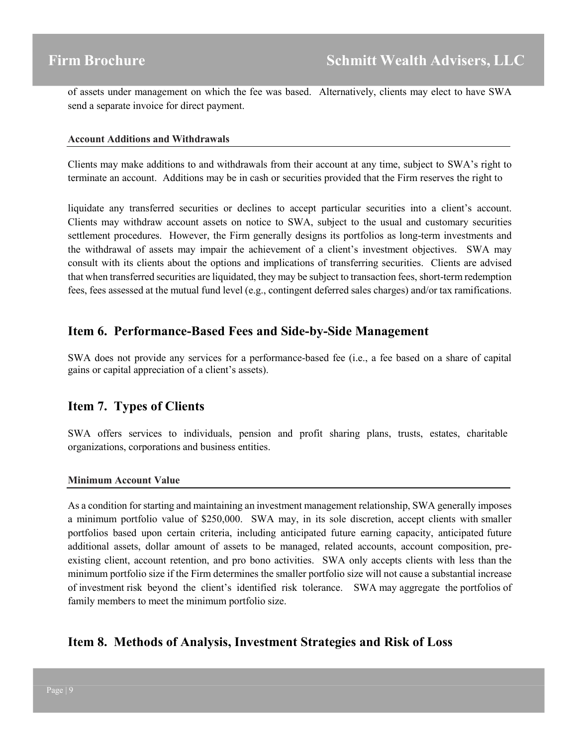of assets under management on which the fee was based. Alternatively, clients may elect to have SWA send a separate invoice for direct payment.

#### **Account Additions and Withdrawals**

Clients may make additions to and withdrawals from their account at any time, subject to SWA's right to terminate an account. Additions may be in cash or securities provided that the Firm reserves the right to

liquidate any transferred securities or declines to accept particular securities into a client's account. Clients may withdraw account assets on notice to SWA, subject to the usual and customary securities settlement procedures. However, the Firm generally designs its portfolios as long-term investments and the withdrawal of assets may impair the achievement of a client's investment objectives. SWA may consult with its clients about the options and implications of transferring securities. Clients are advised that when transferred securities are liquidated, they may be subject to transaction fees, short-term redemption fees, fees assessed at the mutual fund level (e.g., contingent deferred sales charges) and/or tax ramifications.

## **Item 6. Performance-Based Fees and Side-by-Side Management**

SWA does not provide any services for a performance-based fee (i.e., a fee based on a share of capital gains or capital appreciation of a client's assets).

## **Item 7. Types of Clients**

SWA offers services to individuals, pension and profit sharing plans, trusts, estates, charitable organizations, corporations and business entities.

#### **Minimum Account Value**

As a condition for starting and maintaining an investment management relationship, SWA generally imposes a minimum portfolio value of \$250,000. SWA may, in its sole discretion, accept clients with smaller portfolios based upon certain criteria, including anticipated future earning capacity, anticipated future additional assets, dollar amount of assets to be managed, related accounts, account composition, preexisting client, account retention, and pro bono activities. SWA only accepts clients with less than the minimum portfolio size if the Firm determines the smaller portfolio size will not cause a substantial increase of investment risk beyond the client's identified risk tolerance. SWA may aggregate the portfolios of family members to meet the minimum portfolio size.

# **Item 8. Methods of Analysis, Investment Strategies and Risk of Loss**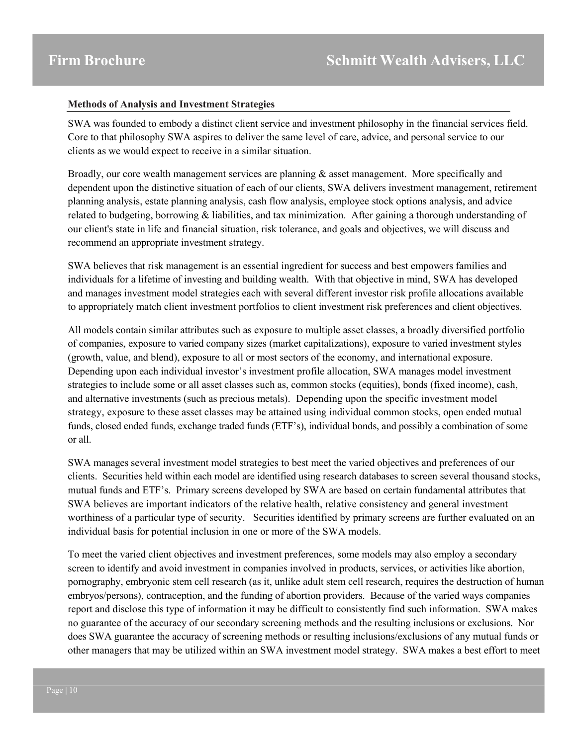#### **Methods of Analysis and Investment Strategies**

SWA was founded to embody a distinct client service and investment philosophy in the financial services field. Core to that philosophy SWA aspires to deliver the same level of care, advice, and personal service to our clients as we would expect to receive in a similar situation.

Broadly, our core wealth management services are planning & asset management. More specifically and dependent upon the distinctive situation of each of our clients, SWA delivers investment management, retirement planning analysis, estate planning analysis, cash flow analysis, employee stock options analysis, and advice related to budgeting, borrowing & liabilities, and tax minimization. After gaining a thorough understanding of our client's state in life and financial situation, risk tolerance, and goals and objectives, we will discuss and recommend an appropriate investment strategy.

SWA believes that risk management is an essential ingredient for success and best empowers families and individuals for a lifetime of investing and building wealth. With that objective in mind, SWA has developed and manages investment model strategies each with several different investor risk profile allocations available to appropriately match client investment portfolios to client investment risk preferences and client objectives.

All models contain similar attributes such as exposure to multiple asset classes, a broadly diversified portfolio of companies, exposure to varied company sizes (market capitalizations), exposure to varied investment styles (growth, value, and blend), exposure to all or most sectors of the economy, and international exposure. Depending upon each individual investor's investment profile allocation, SWA manages model investment strategies to include some or all asset classes such as, common stocks (equities), bonds (fixed income), cash, and alternative investments (such as precious metals). Depending upon the specific investment model strategy, exposure to these asset classes may be attained using individual common stocks, open ended mutual funds, closed ended funds, exchange traded funds (ETF's), individual bonds, and possibly a combination of some or all.

SWA manages several investment model strategies to best meet the varied objectives and preferences of our clients. Securities held within each model are identified using research databases to screen several thousand stocks, mutual funds and ETF's. Primary screens developed by SWA are based on certain fundamental attributes that SWA believes are important indicators of the relative health, relative consistency and general investment worthiness of a particular type of security. Securities identified by primary screens are further evaluated on an individual basis for potential inclusion in one or more of the SWA models.

To meet the varied client objectives and investment preferences, some models may also employ a secondary screen to identify and avoid investment in companies involved in products, services, or activities like abortion, pornography, embryonic stem cell research (as it, unlike adult stem cell research, requires the destruction of human embryos/persons), contraception, and the funding of abortion providers. Because of the varied ways companies report and disclose this type of information it may be difficult to consistently find such information. SWA makes no guarantee of the accuracy of our secondary screening methods and the resulting inclusions or exclusions. Nor does SWA guarantee the accuracy of screening methods or resulting inclusions/exclusions of any mutual funds or other managers that may be utilized within an SWA investment model strategy. SWA makes a best effort to meet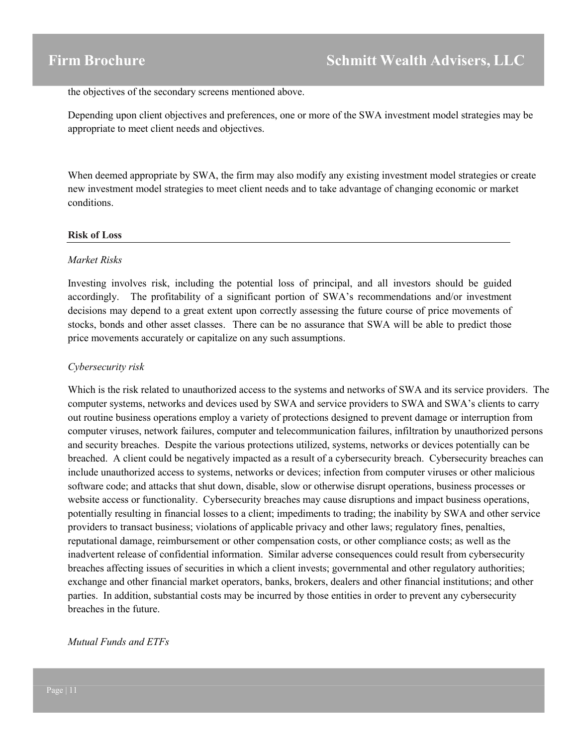the objectives of the secondary screens mentioned above.

Depending upon client objectives and preferences, one or more of the SWA investment model strategies may be appropriate to meet client needs and objectives.

When deemed appropriate by SWA, the firm may also modify any existing investment model strategies or create new investment model strategies to meet client needs and to take advantage of changing economic or market conditions.

#### **Risk of Loss**

#### *Market Risks*

Investing involves risk, including the potential loss of principal, and all investors should be guided accordingly. The profitability of a significant portion of SWA's recommendations and/or investment decisions may depend to a great extent upon correctly assessing the future course of price movements of stocks, bonds and other asset classes. There can be no assurance that SWA will be able to predict those price movements accurately or capitalize on any such assumptions.

#### *Cybersecurity risk*

Which is the risk related to unauthorized access to the systems and networks of SWA and its service providers. The computer systems, networks and devices used by SWA and service providers to SWA and SWA's clients to carry out routine business operations employ a variety of protections designed to prevent damage or interruption from computer viruses, network failures, computer and telecommunication failures, infiltration by unauthorized persons and security breaches. Despite the various protections utilized, systems, networks or devices potentially can be breached. A client could be negatively impacted as a result of a cybersecurity breach. Cybersecurity breaches can include unauthorized access to systems, networks or devices; infection from computer viruses or other malicious software code; and attacks that shut down, disable, slow or otherwise disrupt operations, business processes or website access or functionality. Cybersecurity breaches may cause disruptions and impact business operations, potentially resulting in financial losses to a client; impediments to trading; the inability by SWA and other service providers to transact business; violations of applicable privacy and other laws; regulatory fines, penalties, reputational damage, reimbursement or other compensation costs, or other compliance costs; as well as the inadvertent release of confidential information. Similar adverse consequences could result from cybersecurity breaches affecting issues of securities in which a client invests; governmental and other regulatory authorities; exchange and other financial market operators, banks, brokers, dealers and other financial institutions; and other parties. In addition, substantial costs may be incurred by those entities in order to prevent any cybersecurity breaches in the future.

#### *Mutual Funds and ETFs*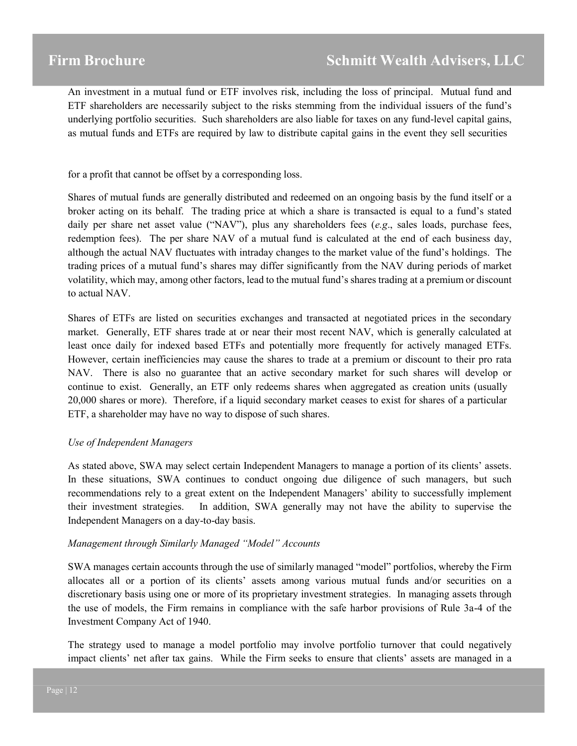# **Schmitt Wealth Advisers, LLC**

An investment in a mutual fund or ETF involves risk, including the loss of principal. Mutual fund and ETF shareholders are necessarily subject to the risks stemming from the individual issuers of the fund's underlying portfolio securities. Such shareholders are also liable for taxes on any fund-level capital gains, as mutual funds and ETFs are required by law to distribute capital gains in the event they sell securities

for a profit that cannot be offset by a corresponding loss.

Shares of mutual funds are generally distributed and redeemed on an ongoing basis by the fund itself or a broker acting on its behalf. The trading price at which a share is transacted is equal to a fund's stated daily per share net asset value ("NAV"), plus any shareholders fees (*e.g*., sales loads, purchase fees, redemption fees). The per share NAV of a mutual fund is calculated at the end of each business day, although the actual NAV fluctuates with intraday changes to the market value of the fund's holdings. The trading prices of a mutual fund's shares may differ significantly from the NAV during periods of market volatility, which may, among other factors, lead to the mutual fund's shares trading at a premium or discount to actual NAV.

Shares of ETFs are listed on securities exchanges and transacted at negotiated prices in the secondary market. Generally, ETF shares trade at or near their most recent NAV, which is generally calculated at least once daily for indexed based ETFs and potentially more frequently for actively managed ETFs. However, certain inefficiencies may cause the shares to trade at a premium or discount to their pro rata NAV. There is also no guarantee that an active secondary market for such shares will develop or continue to exist. Generally, an ETF only redeems shares when aggregated as creation units (usually 20,000 shares or more). Therefore, if a liquid secondary market ceases to exist for shares of a particular ETF, a shareholder may have no way to dispose of such shares.

#### *Use of Independent Managers*

As stated above, SWA may select certain Independent Managers to manage a portion of its clients' assets. In these situations, SWA continues to conduct ongoing due diligence of such managers, but such recommendations rely to a great extent on the Independent Managers' ability to successfully implement their investment strategies. In addition, SWA generally may not have the ability to supervise the Independent Managers on a day-to-day basis.

#### *Management through Similarly Managed "Model" Accounts*

SWA manages certain accounts through the use of similarly managed "model" portfolios, whereby the Firm allocates all or a portion of its clients' assets among various mutual funds and/or securities on a discretionary basis using one or more of its proprietary investment strategies. In managing assets through the use of models, the Firm remains in compliance with the safe harbor provisions of Rule 3a-4 of the Investment Company Act of 1940.

The strategy used to manage a model portfolio may involve portfolio turnover that could negatively impact clients' net after tax gains. While the Firm seeks to ensure that clients' assets are managed in a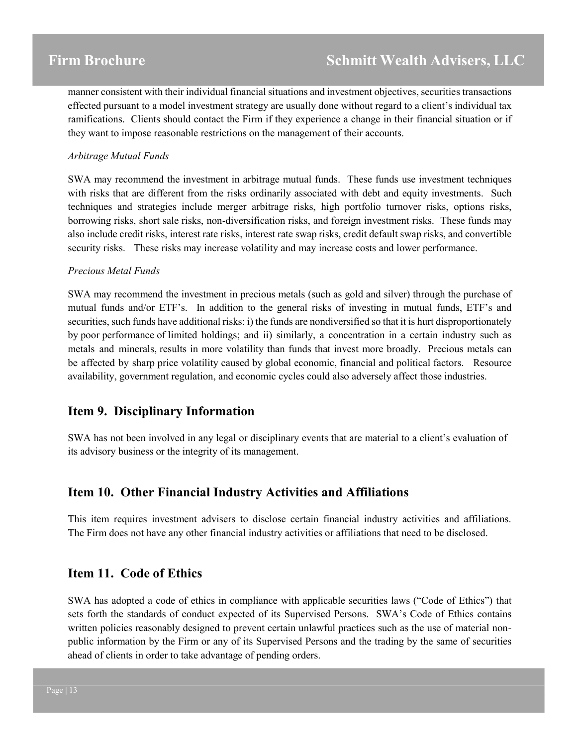manner consistent with their individual financial situations and investment objectives, securities transactions effected pursuant to a model investment strategy are usually done without regard to a client's individual tax ramifications. Clients should contact the Firm if they experience a change in their financial situation or if they want to impose reasonable restrictions on the management of their accounts.

#### *Arbitrage Mutual Funds*

SWA may recommend the investment in arbitrage mutual funds. These funds use investment techniques with risks that are different from the risks ordinarily associated with debt and equity investments. Such techniques and strategies include merger arbitrage risks, high portfolio turnover risks, options risks, borrowing risks, short sale risks, non-diversification risks, and foreign investment risks. These funds may also include credit risks, interest rate risks, interest rate swap risks, credit default swap risks, and convertible security risks. These risks may increase volatility and may increase costs and lower performance.

#### *Precious Metal Funds*

SWA may recommend the investment in precious metals (such as gold and silver) through the purchase of mutual funds and/or ETF's. In addition to the general risks of investing in mutual funds, ETF's and securities, such funds have additional risks: i) the funds are nondiversified so that it is hurt disproportionately by poor performance of limited holdings; and ii) similarly, a concentration in a certain industry such as metals and minerals, results in more volatility than funds that invest more broadly. Precious metals can be affected by sharp price volatility caused by global economic, financial and political factors. Resource availability, government regulation, and economic cycles could also adversely affect those industries.

# **Item 9. Disciplinary Information**

SWA has not been involved in any legal or disciplinary events that are material to a client's evaluation of its advisory business or the integrity of its management.

## **Item 10. Other Financial Industry Activities and Affiliations**

This item requires investment advisers to disclose certain financial industry activities and affiliations. The Firm does not have any other financial industry activities or affiliations that need to be disclosed.

## **Item 11. Code of Ethics**

SWA has adopted a code of ethics in compliance with applicable securities laws ("Code of Ethics") that sets forth the standards of conduct expected of its Supervised Persons. SWA's Code of Ethics contains written policies reasonably designed to prevent certain unlawful practices such as the use of material nonpublic information by the Firm or any of its Supervised Persons and the trading by the same of securities ahead of clients in order to take advantage of pending orders.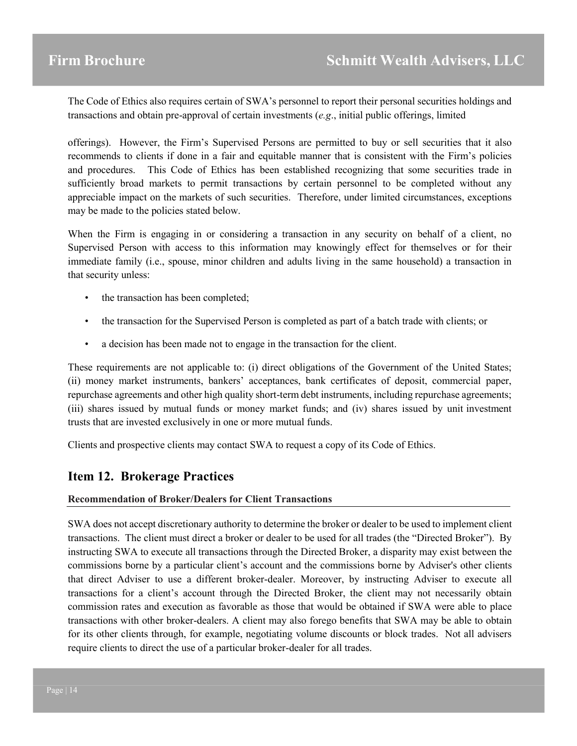The Code of Ethics also requires certain of SWA's personnel to report their personal securities holdings and transactions and obtain pre-approval of certain investments (*e.g*., initial public offerings, limited

offerings). However, the Firm's Supervised Persons are permitted to buy or sell securities that it also recommends to clients if done in a fair and equitable manner that is consistent with the Firm's policies and procedures. This Code of Ethics has been established recognizing that some securities trade in sufficiently broad markets to permit transactions by certain personnel to be completed without any appreciable impact on the markets of such securities. Therefore, under limited circumstances, exceptions may be made to the policies stated below.

When the Firm is engaging in or considering a transaction in any security on behalf of a client, no Supervised Person with access to this information may knowingly effect for themselves or for their immediate family (i.e., spouse, minor children and adults living in the same household) a transaction in that security unless:

- the transaction has been completed;
- the transaction for the Supervised Person is completed as part of a batch trade with clients; or
- a decision has been made not to engage in the transaction for the client.

These requirements are not applicable to: (i) direct obligations of the Government of the United States; (ii) money market instruments, bankers' acceptances, bank certificates of deposit, commercial paper, repurchase agreements and other high quality short-term debt instruments, including repurchase agreements; (iii) shares issued by mutual funds or money market funds; and (iv) shares issued by unit investment trusts that are invested exclusively in one or more mutual funds.

Clients and prospective clients may contact SWA to request a copy of its Code of Ethics.

# **Item 12. Brokerage Practices**

#### **Recommendation of Broker/Dealers for Client Transactions**

SWA does not accept discretionary authority to determine the broker or dealer to be used to implement client transactions. The client must direct a broker or dealer to be used for all trades (the "Directed Broker"). By instructing SWA to execute all transactions through the Directed Broker, a disparity may exist between the commissions borne by a particular client's account and the commissions borne by Adviser's other clients that direct Adviser to use a different broker-dealer. Moreover, by instructing Adviser to execute all transactions for a client's account through the Directed Broker, the client may not necessarily obtain commission rates and execution as favorable as those that would be obtained if SWA were able to place transactions with other broker-dealers. A client may also forego benefits that SWA may be able to obtain for its other clients through, for example, negotiating volume discounts or block trades. Not all advisers require clients to direct the use of a particular broker-dealer for all trades.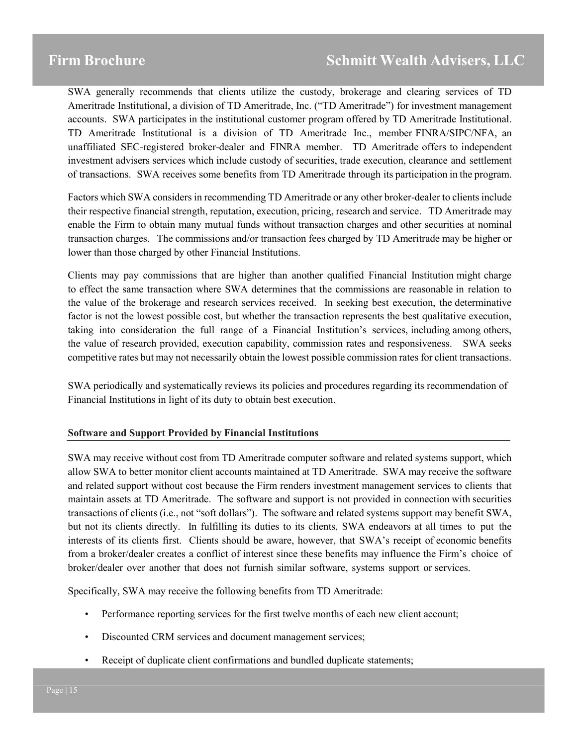SWA generally recommends that clients utilize the custody, brokerage and clearing services of TD Ameritrade Institutional, a division of TD Ameritrade, Inc. ("TD Ameritrade") for investment management accounts. SWA participates in the institutional customer program offered by TD Ameritrade Institutional. TD Ameritrade Institutional is a division of TD Ameritrade Inc., member FINRA/SIPC/NFA, an unaffiliated SEC-registered broker-dealer and FINRA member. TD Ameritrade offers to independent investment advisers services which include custody of securities, trade execution, clearance and settlement of transactions. SWA receives some benefits from TD Ameritrade through its participation in the program.

Factors which SWA considers in recommending TD Ameritrade or any other broker-dealer to clients include their respective financial strength, reputation, execution, pricing, research and service. TD Ameritrade may enable the Firm to obtain many mutual funds without transaction charges and other securities at nominal transaction charges. The commissions and/or transaction fees charged by TD Ameritrade may be higher or lower than those charged by other Financial Institutions.

Clients may pay commissions that are higher than another qualified Financial Institution might charge to effect the same transaction where SWA determines that the commissions are reasonable in relation to the value of the brokerage and research services received. In seeking best execution, the determinative factor is not the lowest possible cost, but whether the transaction represents the best qualitative execution, taking into consideration the full range of a Financial Institution's services, including among others, the value of research provided, execution capability, commission rates and responsiveness. SWA seeks competitive rates but may not necessarily obtain the lowest possible commission rates for client transactions.

SWA periodically and systematically reviews its policies and procedures regarding its recommendation of Financial Institutions in light of its duty to obtain best execution.

#### **Software and Support Provided by Financial Institutions**

SWA may receive without cost from TD Ameritrade computer software and related systems support, which allow SWA to better monitor client accounts maintained at TD Ameritrade. SWA may receive the software and related support without cost because the Firm renders investment management services to clients that maintain assets at TD Ameritrade. The software and support is not provided in connection with securities transactions of clients (i.e., not "soft dollars"). The software and related systems support may benefit SWA, but not its clients directly. In fulfilling its duties to its clients, SWA endeavors at all times to put the interests of its clients first. Clients should be aware, however, that SWA's receipt of economic benefits from a broker/dealer creates a conflict of interest since these benefits may influence the Firm's choice of broker/dealer over another that does not furnish similar software, systems support or services.

Specifically, SWA may receive the following benefits from TD Ameritrade:

- Performance reporting services for the first twelve months of each new client account;
- Discounted CRM services and document management services;
- Receipt of duplicate client confirmations and bundled duplicate statements;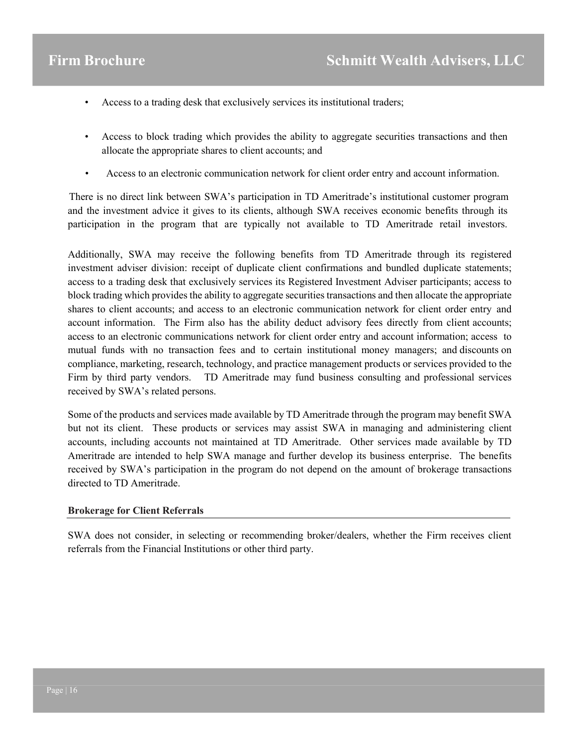- Access to a trading desk that exclusively services its institutional traders;
- Access to block trading which provides the ability to aggregate securities transactions and then allocate the appropriate shares to client accounts; and
- Access to an electronic communication network for client order entry and account information.

There is no direct link between SWA's participation in TD Ameritrade's institutional customer program and the investment advice it gives to its clients, although SWA receives economic benefits through its participation in the program that are typically not available to TD Ameritrade retail investors.

Additionally, SWA may receive the following benefits from TD Ameritrade through its registered investment adviser division: receipt of duplicate client confirmations and bundled duplicate statements; access to a trading desk that exclusively services its Registered Investment Adviser participants; access to block trading which provides the ability to aggregate securities transactions and then allocate the appropriate shares to client accounts; and access to an electronic communication network for client order entry and account information. The Firm also has the ability deduct advisory fees directly from client accounts; access to an electronic communications network for client order entry and account information; access to mutual funds with no transaction fees and to certain institutional money managers; and discounts on compliance, marketing, research, technology, and practice management products or services provided to the Firm by third party vendors. TD Ameritrade may fund business consulting and professional services received by SWA's related persons.

Some of the products and services made available by TD Ameritrade through the program may benefit SWA but not its client. These products or services may assist SWA in managing and administering client accounts, including accounts not maintained at TD Ameritrade. Other services made available by TD Ameritrade are intended to help SWA manage and further develop its business enterprise. The benefits received by SWA's participation in the program do not depend on the amount of brokerage transactions directed to TD Ameritrade.

#### **Brokerage for Client Referrals**

SWA does not consider, in selecting or recommending broker/dealers, whether the Firm receives client referrals from the Financial Institutions or other third party.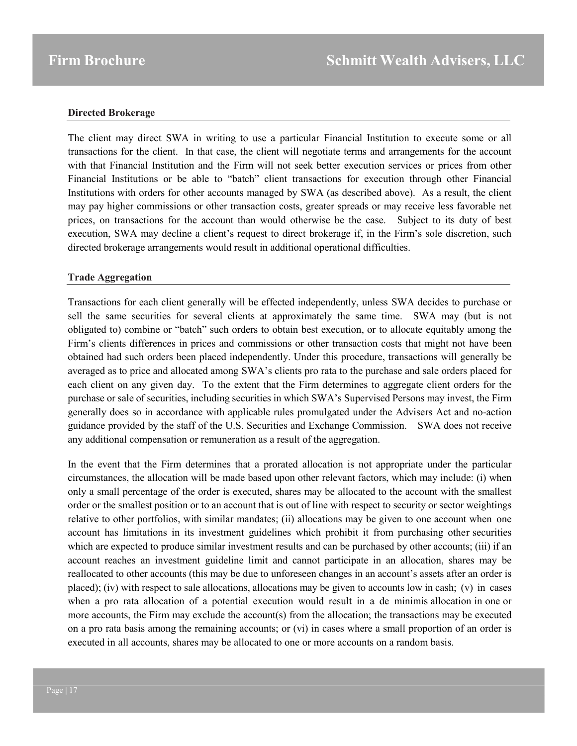#### **Directed Brokerage**

The client may direct SWA in writing to use a particular Financial Institution to execute some or all transactions for the client. In that case, the client will negotiate terms and arrangements for the account with that Financial Institution and the Firm will not seek better execution services or prices from other Financial Institutions or be able to "batch" client transactions for execution through other Financial Institutions with orders for other accounts managed by SWA (as described above). As a result, the client may pay higher commissions or other transaction costs, greater spreads or may receive less favorable net prices, on transactions for the account than would otherwise be the case. Subject to its duty of best execution, SWA may decline a client's request to direct brokerage if, in the Firm's sole discretion, such directed brokerage arrangements would result in additional operational difficulties.

#### **Trade Aggregation**

Transactions for each client generally will be effected independently, unless SWA decides to purchase or sell the same securities for several clients at approximately the same time. SWA may (but is not obligated to) combine or "batch" such orders to obtain best execution, or to allocate equitably among the Firm's clients differences in prices and commissions or other transaction costs that might not have been obtained had such orders been placed independently. Under this procedure, transactions will generally be averaged as to price and allocated among SWA's clients pro rata to the purchase and sale orders placed for each client on any given day. To the extent that the Firm determines to aggregate client orders for the purchase or sale of securities, including securities in which SWA's Supervised Persons may invest, the Firm generally does so in accordance with applicable rules promulgated under the Advisers Act and no-action guidance provided by the staff of the U.S. Securities and Exchange Commission. SWA does not receive any additional compensation or remuneration as a result of the aggregation.

In the event that the Firm determines that a prorated allocation is not appropriate under the particular circumstances, the allocation will be made based upon other relevant factors, which may include: (i) when only a small percentage of the order is executed, shares may be allocated to the account with the smallest order or the smallest position or to an account that is out of line with respect to security or sector weightings relative to other portfolios, with similar mandates; (ii) allocations may be given to one account when one account has limitations in its investment guidelines which prohibit it from purchasing other securities which are expected to produce similar investment results and can be purchased by other accounts; (iii) if an account reaches an investment guideline limit and cannot participate in an allocation, shares may be reallocated to other accounts (this may be due to unforeseen changes in an account's assets after an order is placed); (iv) with respect to sale allocations, allocations may be given to accounts low in cash; (v) in cases when a pro rata allocation of a potential execution would result in a de minimis allocation in one or more accounts, the Firm may exclude the account(s) from the allocation; the transactions may be executed on a pro rata basis among the remaining accounts; or (vi) in cases where a small proportion of an order is executed in all accounts, shares may be allocated to one or more accounts on a random basis.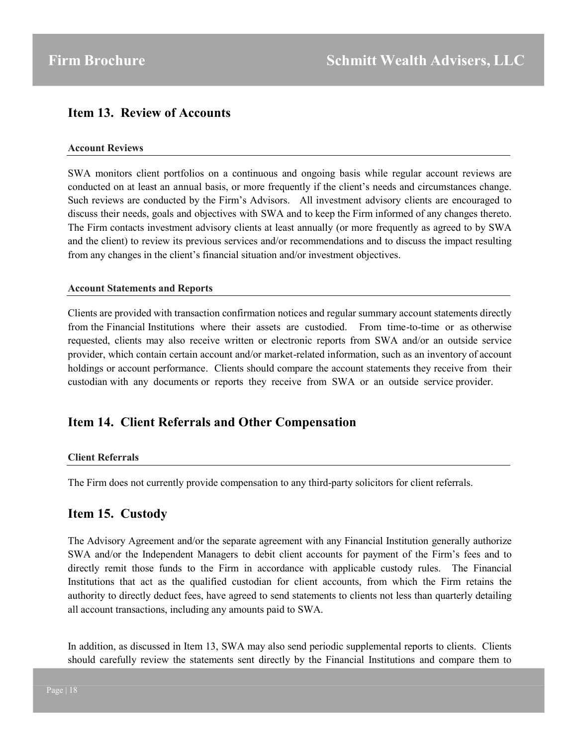# **Item 13. Review of Accounts**

#### **Account Reviews**

SWA monitors client portfolios on a continuous and ongoing basis while regular account reviews are conducted on at least an annual basis, or more frequently if the client's needs and circumstances change. Such reviews are conducted by the Firm's Advisors. All investment advisory clients are encouraged to discuss their needs, goals and objectives with SWA and to keep the Firm informed of any changes thereto. The Firm contacts investment advisory clients at least annually (or more frequently as agreed to by SWA and the client) to review its previous services and/or recommendations and to discuss the impact resulting from any changes in the client's financial situation and/or investment objectives.

#### **Account Statements and Reports**

Clients are provided with transaction confirmation notices and regular summary account statements directly from the Financial Institutions where their assets are custodied. From time-to-time or as otherwise requested, clients may also receive written or electronic reports from SWA and/or an outside service provider, which contain certain account and/or market-related information, such as an inventory of account holdings or account performance. Clients should compare the account statements they receive from their custodian with any documents or reports they receive from SWA or an outside service provider.

## **Item 14. Client Referrals and Other Compensation**

#### **Client Referrals**

The Firm does not currently provide compensation to any third-party solicitors for client referrals.

## **Item 15. Custody**

The Advisory Agreement and/or the separate agreement with any Financial Institution generally authorize SWA and/or the Independent Managers to debit client accounts for payment of the Firm's fees and to directly remit those funds to the Firm in accordance with applicable custody rules. The Financial Institutions that act as the qualified custodian for client accounts, from which the Firm retains the authority to directly deduct fees, have agreed to send statements to clients not less than quarterly detailing all account transactions, including any amounts paid to SWA.

In addition, as discussed in Item 13, SWA may also send periodic supplemental reports to clients. Clients should carefully review the statements sent directly by the Financial Institutions and compare them to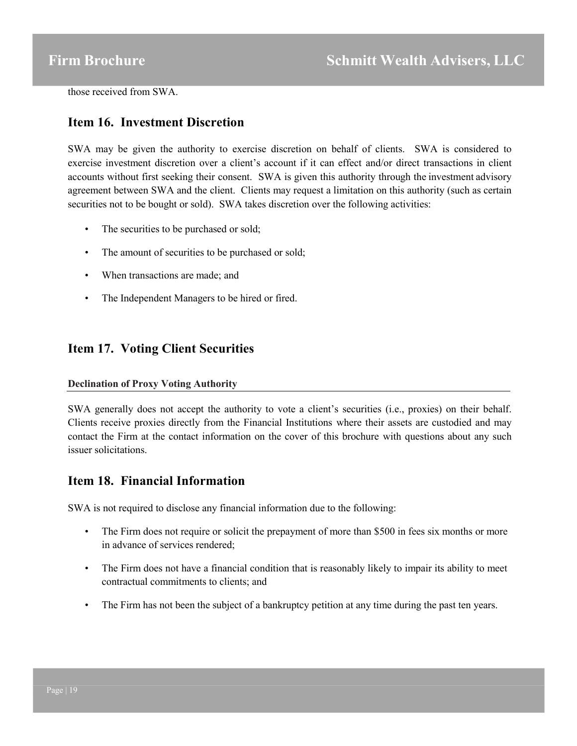those received from SWA.

## **Item 16. Investment Discretion**

SWA may be given the authority to exercise discretion on behalf of clients. SWA is considered to exercise investment discretion over a client's account if it can effect and/or direct transactions in client accounts without first seeking their consent. SWA is given this authority through the investment advisory agreement between SWA and the client. Clients may request a limitation on this authority (such as certain securities not to be bought or sold). SWA takes discretion over the following activities:

- The securities to be purchased or sold;
- The amount of securities to be purchased or sold;
- When transactions are made; and
- The Independent Managers to be hired or fired.

# **Item 17. Voting Client Securities**

#### **Declination of Proxy Voting Authority**

SWA generally does not accept the authority to vote a client's securities (i.e., proxies) on their behalf. Clients receive proxies directly from the Financial Institutions where their assets are custodied and may contact the Firm at the contact information on the cover of this brochure with questions about any such issuer solicitations.

# **Item 18. Financial Information**

SWA is not required to disclose any financial information due to the following:

- The Firm does not require or solicit the prepayment of more than \$500 in fees six months or more in advance of services rendered;
- The Firm does not have a financial condition that is reasonably likely to impair its ability to meet contractual commitments to clients; and
- The Firm has not been the subject of a bankruptcy petition at any time during the past ten years.